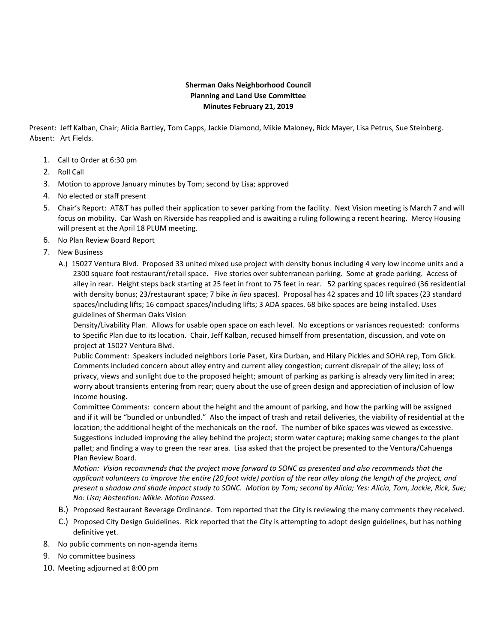## **Sherman Oaks Neighborhood Council Planning and Land Use Committee Minutes February 21, 2019**

Present: Jeff Kalban, Chair; Alicia Bartley, Tom Capps, Jackie Diamond, Mikie Maloney, Rick Mayer, Lisa Petrus, Sue Steinberg. Absent: Art Fields.

- 1. Call to Order at 6:30 pm
- 2. Roll Call
- 3. Motion to approve January minutes by Tom; second by Lisa; approved
- 4. No elected or staff present
- 5. Chair's Report: AT&T has pulled their application to sever parking from the facility. Next Vision meeting is March 7 and will focus on mobility. Car Wash on Riverside has reapplied and is awaiting a ruling following a recent hearing. Mercy Housing will present at the April 18 PLUM meeting.
- 6. No Plan Review Board Report
- 7. New Business
	- A.) 15027 Ventura Blvd. Proposed 33 united mixed use project with density bonus including 4 very low income units and a 2300 square foot restaurant/retail space. Five stories over subterranean parking. Some at grade parking. Access of alley in rear. Height steps back starting at 25 feet in front to 75 feet in rear. 52 parking spaces required (36 residential with density bonus; 23/restaurant space; 7 bike *in lieu* spaces). Proposal has 42 spaces and 10 lift spaces (23 standard spaces/including lifts; 16 compact spaces/including lifts; 3 ADA spaces. 68 bike spaces are being installed. Uses guidelines of Sherman Oaks Vision

Density/Livability Plan. Allows for usable open space on each level. No exceptions or variances requested: conforms to Specific Plan due to its location. Chair, Jeff Kalban, recused himself from presentation, discussion, and vote on project at 15027 Ventura Blvd.

Public Comment: Speakers included neighbors Lorie Paset, Kira Durban, and Hilary Pickles and SOHA rep, Tom Glick. Comments included concern about alley entry and current alley congestion; current disrepair of the alley; loss of privacy, views and sunlight due to the proposed height; amount of parking as parking is already very limited in area; worry about transients entering from rear; query about the use of green design and appreciation of inclusion of low income housing.

Committee Comments: concern about the height and the amount of parking, and how the parking will be assigned and if it will be "bundled or unbundled." AIso the impact of trash and retail deliveries, the viability of residential at the location; the additional height of the mechanicals on the roof. The number of bike spaces was viewed as excessive. Suggestions included improving the alley behind the project; storm water capture; making some changes to the plant pallet; and finding a way to green the rear area. Lisa asked that the project be presented to the Ventura/Cahuenga Plan Review Board.

*Motion: Vision recommends that the project move forward to SONC as presented and also recommends that the applicant volunteers to improve the entire (20 foot wide) portion of the rear alley along the length of the project, and present a shadow and shade impact study to SONC. Motion by Tom; second by Alicia; Yes: Alicia, Tom, Jackie, Rick, Sue; No: Lisa; Abstention: Mikie. Motion Passed.*

- B.) Proposed Restaurant Beverage Ordinance. Tom reported that the City is reviewing the many comments they received.
- C.) Proposed City Design Guidelines. Rick reported that the City is attempting to adopt design guidelines, but has nothing definitive yet.
- 8. No public comments on non-agenda items
- 9. No committee business
- 10. Meeting adjourned at 8:00 pm